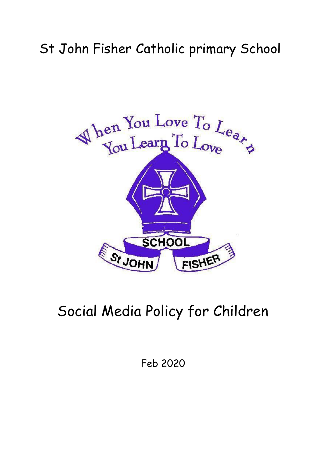## St John Fisher Catholic primary School



## Social Media Policy for Children

Feb 2020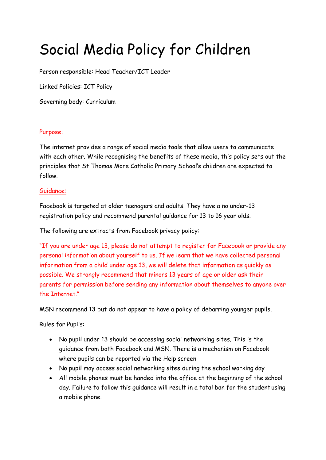# Social Media Policy for Children

Person responsible: Head Teacher/ICT Leader

Linked Policies: ICT Policy

Governing body: Curriculum

#### Purpose:

The internet provides a range of social media tools that allow users to communicate with each other. While recognising the benefits of these media, this policy sets out the principles that St Thomas More Catholic Primary School's children are expected to follow.

#### Guidance:

Facebook is targeted at older teenagers and adults. They have a no under-13 registration policy and recommend parental guidance for 13 to 16 year olds.

The following are extracts from Facebook privacy policy:

"If you are under age 13, please do not attempt to register for Facebook or provide any personal information about yourself to us. If we learn that we have collected personal information from a child under age 13, we will delete that information as quickly as possible. We strongly recommend that minors 13 years of age or older ask their parents for permission before sending any information about themselves to anyone over the Internet."

MSN recommend 13 but do not appear to have a policy of debarring younger pupils.

Rules for Pupils:

- No pupil under 13 should be accessing social networking sites. This is the guidance from both Facebook and MSN. There is a mechanism on Facebook where pupils can be reported via the Help screen
- No pupil may access social networking sites during the school working day
- All mobile phones must be handed into the office at the beginning of the school day. Failure to follow this guidance will result in a total ban for the student using a mobile phone.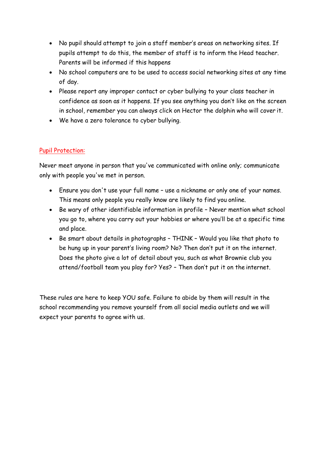- No pupil should attempt to join a staff member's areas on networking sites. If pupils attempt to do this, the member of staff is to inform the Head teacher. Parents will be informed if this happens
- No school computers are to be used to access social networking sites at any time of day.
- Please report any improper contact or cyber bullying to your class teacher in confidence as soon as it happens. If you see anything you don't like on the screen in school, remember you can always click on Hector the dolphin who will cover it.
- We have a zero tolerance to cyber bullying.

#### Pupil Protection:

Never meet anyone in person that you've communicated with online only; communicate only with people you've met in person.

- Ensure you don't use your full name use a nickname or only one of your names. This means only people you really know are likely to find you online.
- Be wary of other identifiable information in profile Never mention what school you go to, where you carry out your hobbies or where you'll be at a specific time and place.
- Be smart about details in photographs THINK Would you like that photo to be hung up in your parent's living room? No? Then don't put it on the internet. Does the photo give a lot of detail about you, such as what Brownie club you attend/football team you play for? Yes? – Then don't put it on the internet.

These rules are here to keep YOU safe. Failure to abide by them will result in the school recommending you remove yourself from all social media outlets and we will expect your parents to agree with us.